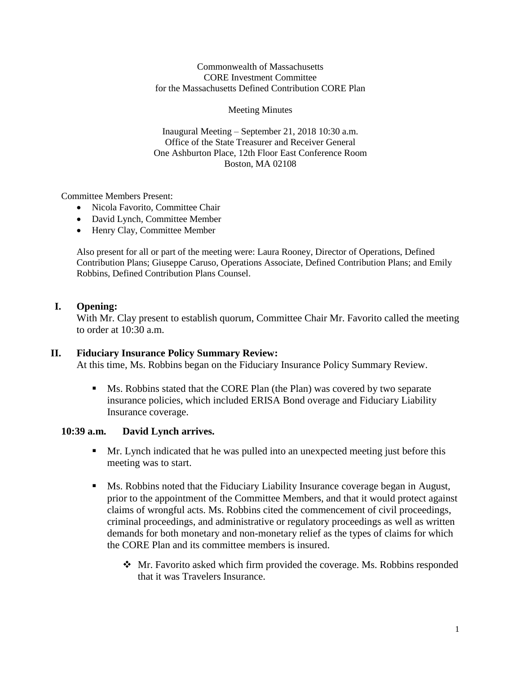#### Commonwealth of Massachusetts CORE Investment Committee for the Massachusetts Defined Contribution CORE Plan

#### Meeting Minutes

Inaugural Meeting – September 21, 2018 10:30 a.m. Office of the State Treasurer and Receiver General One Ashburton Place, 12th Floor East Conference Room Boston, MA 02108

Committee Members Present:

- Nicola Favorito, Committee Chair
- David Lynch, Committee Member
- Henry Clay, Committee Member

Also present for all or part of the meeting were: Laura Rooney, Director of Operations, Defined Contribution Plans; Giuseppe Caruso, Operations Associate, Defined Contribution Plans; and Emily Robbins, Defined Contribution Plans Counsel.

### **I. Opening:**

With Mr. Clay present to establish quorum, Committee Chair Mr. Favorito called the meeting to order at 10:30 a.m.

#### **II. Fiduciary Insurance Policy Summary Review:**

At this time, Ms. Robbins began on the Fiduciary Insurance Policy Summary Review.

■ Ms. Robbins stated that the CORE Plan (the Plan) was covered by two separate insurance policies, which included ERISA Bond overage and Fiduciary Liability Insurance coverage.

#### **10:39 a.m. David Lynch arrives.**

- **Mr.** Lynch indicated that he was pulled into an unexpected meeting just before this meeting was to start.
- Ms. Robbins noted that the Fiduciary Liability Insurance coverage began in August, prior to the appointment of the Committee Members, and that it would protect against claims of wrongful acts. Ms. Robbins cited the commencement of civil proceedings, criminal proceedings, and administrative or regulatory proceedings as well as written demands for both monetary and non-monetary relief as the types of claims for which the CORE Plan and its committee members is insured.
	- ❖ Mr. Favorito asked which firm provided the coverage. Ms. Robbins responded that it was Travelers Insurance.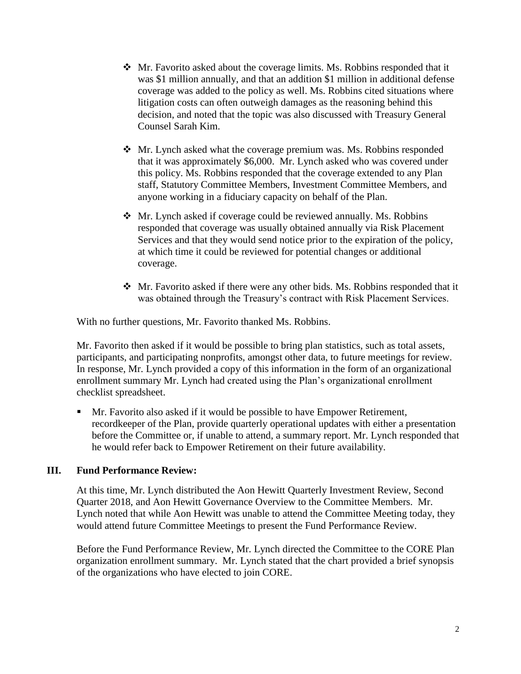- $\triangle$  Mr. Favorito asked about the coverage limits. Ms. Robbins responded that it was \$1 million annually, and that an addition \$1 million in additional defense coverage was added to the policy as well. Ms. Robbins cited situations where litigation costs can often outweigh damages as the reasoning behind this decision, and noted that the topic was also discussed with Treasury General Counsel Sarah Kim.
- ❖ Mr. Lynch asked what the coverage premium was. Ms. Robbins responded that it was approximately \$6,000. Mr. Lynch asked who was covered under this policy. Ms. Robbins responded that the coverage extended to any Plan staff, Statutory Committee Members, Investment Committee Members, and anyone working in a fiduciary capacity on behalf of the Plan.
- ❖ Mr. Lynch asked if coverage could be reviewed annually. Ms. Robbins responded that coverage was usually obtained annually via Risk Placement Services and that they would send notice prior to the expiration of the policy, at which time it could be reviewed for potential changes or additional coverage.
- $\mathbf{\hat{P}}$  Mr. Favorito asked if there were any other bids. Ms. Robbins responded that it was obtained through the Treasury's contract with Risk Placement Services.

With no further questions, Mr. Favorito thanked Ms. Robbins.

Mr. Favorito then asked if it would be possible to bring plan statistics, such as total assets, participants, and participating nonprofits, amongst other data, to future meetings for review. In response, Mr. Lynch provided a copy of this information in the form of an organizational enrollment summary Mr. Lynch had created using the Plan's organizational enrollment checklist spreadsheet.

Mr. Favorito also asked if it would be possible to have Empower Retirement, recordkeeper of the Plan, provide quarterly operational updates with either a presentation before the Committee or, if unable to attend, a summary report. Mr. Lynch responded that he would refer back to Empower Retirement on their future availability.

# **III. Fund Performance Review:**

At this time, Mr. Lynch distributed the Aon Hewitt Quarterly Investment Review, Second Quarter 2018, and Aon Hewitt Governance Overview to the Committee Members. Mr. Lynch noted that while Aon Hewitt was unable to attend the Committee Meeting today, they would attend future Committee Meetings to present the Fund Performance Review.

Before the Fund Performance Review, Mr. Lynch directed the Committee to the CORE Plan organization enrollment summary. Mr. Lynch stated that the chart provided a brief synopsis of the organizations who have elected to join CORE.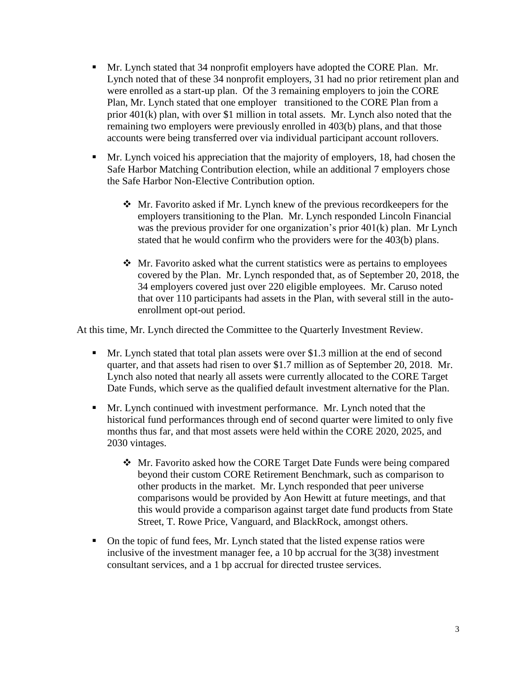- Mr. Lynch stated that 34 nonprofit employers have adopted the CORE Plan. Mr. Lynch noted that of these 34 nonprofit employers, 31 had no prior retirement plan and were enrolled as a start-up plan. Of the 3 remaining employers to join the CORE Plan, Mr. Lynch stated that one employer transitioned to the CORE Plan from a prior 401(k) plan, with over \$1 million in total assets. Mr. Lynch also noted that the remaining two employers were previously enrolled in 403(b) plans, and that those accounts were being transferred over via individual participant account rollovers.
- Mr. Lynch voiced his appreciation that the majority of employers, 18, had chosen the Safe Harbor Matching Contribution election, while an additional 7 employers chose the Safe Harbor Non-Elective Contribution option.
	- ❖ Mr. Favorito asked if Mr. Lynch knew of the previous recordkeepers for the employers transitioning to the Plan. Mr. Lynch responded Lincoln Financial was the previous provider for one organization's prior 401(k) plan. Mr Lynch stated that he would confirm who the providers were for the 403(b) plans.
	- ❖ Mr. Favorito asked what the current statistics were as pertains to employees covered by the Plan. Mr. Lynch responded that, as of September 20, 2018, the 34 employers covered just over 220 eligible employees. Mr. Caruso noted that over 110 participants had assets in the Plan, with several still in the autoenrollment opt-out period.

At this time, Mr. Lynch directed the Committee to the Quarterly Investment Review.

- Mr. Lynch stated that total plan assets were over \$1.3 million at the end of second quarter, and that assets had risen to over \$1.7 million as of September 20, 2018. Mr. Lynch also noted that nearly all assets were currently allocated to the CORE Target Date Funds, which serve as the qualified default investment alternative for the Plan.
- Mr. Lynch continued with investment performance. Mr. Lynch noted that the historical fund performances through end of second quarter were limited to only five months thus far, and that most assets were held within the CORE 2020, 2025, and 2030 vintages.
	- ❖ Mr. Favorito asked how the CORE Target Date Funds were being compared beyond their custom CORE Retirement Benchmark, such as comparison to other products in the market. Mr. Lynch responded that peer universe comparisons would be provided by Aon Hewitt at future meetings, and that this would provide a comparison against target date fund products from State Street, T. Rowe Price, Vanguard, and BlackRock, amongst others.
- On the topic of fund fees, Mr. Lynch stated that the listed expense ratios were inclusive of the investment manager fee, a 10 bp accrual for the 3(38) investment consultant services, and a 1 bp accrual for directed trustee services.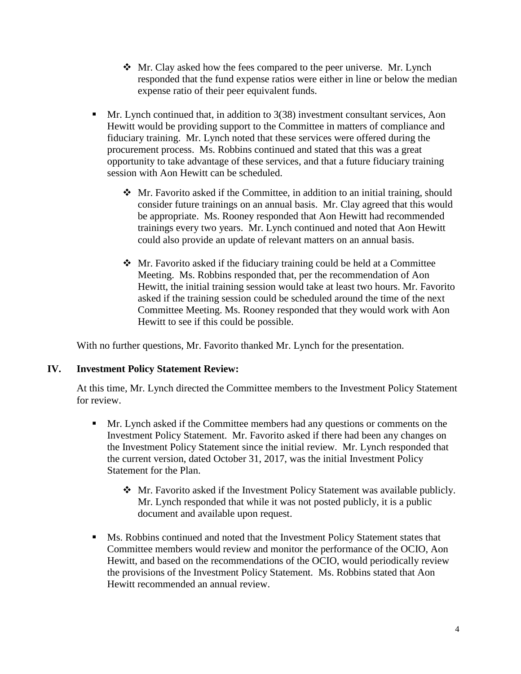- ❖ Mr. Clay asked how the fees compared to the peer universe. Mr. Lynch responded that the fund expense ratios were either in line or below the median expense ratio of their peer equivalent funds.
- **IF** Mr. Lynch continued that, in addition to  $3(38)$  investment consultant services, Aon Hewitt would be providing support to the Committee in matters of compliance and fiduciary training. Mr. Lynch noted that these services were offered during the procurement process. Ms. Robbins continued and stated that this was a great opportunity to take advantage of these services, and that a future fiduciary training session with Aon Hewitt can be scheduled.
	- ❖ Mr. Favorito asked if the Committee, in addition to an initial training, should consider future trainings on an annual basis. Mr. Clay agreed that this would be appropriate. Ms. Rooney responded that Aon Hewitt had recommended trainings every two years. Mr. Lynch continued and noted that Aon Hewitt could also provide an update of relevant matters on an annual basis.
	- ❖ Mr. Favorito asked if the fiduciary training could be held at a Committee Meeting. Ms. Robbins responded that, per the recommendation of Aon Hewitt, the initial training session would take at least two hours. Mr. Favorito asked if the training session could be scheduled around the time of the next Committee Meeting. Ms. Rooney responded that they would work with Aon Hewitt to see if this could be possible.

With no further questions, Mr. Favorito thanked Mr. Lynch for the presentation.

### **IV. Investment Policy Statement Review:**

At this time, Mr. Lynch directed the Committee members to the Investment Policy Statement for review.

- Mr. Lynch asked if the Committee members had any questions or comments on the Investment Policy Statement. Mr. Favorito asked if there had been any changes on the Investment Policy Statement since the initial review. Mr. Lynch responded that the current version, dated October 31, 2017, was the initial Investment Policy Statement for the Plan.
	- ❖ Mr. Favorito asked if the Investment Policy Statement was available publicly. Mr. Lynch responded that while it was not posted publicly, it is a public document and available upon request.
- **■** Ms. Robbins continued and noted that the Investment Policy Statement states that Committee members would review and monitor the performance of the OCIO, Aon Hewitt, and based on the recommendations of the OCIO, would periodically review the provisions of the Investment Policy Statement. Ms. Robbins stated that Aon Hewitt recommended an annual review.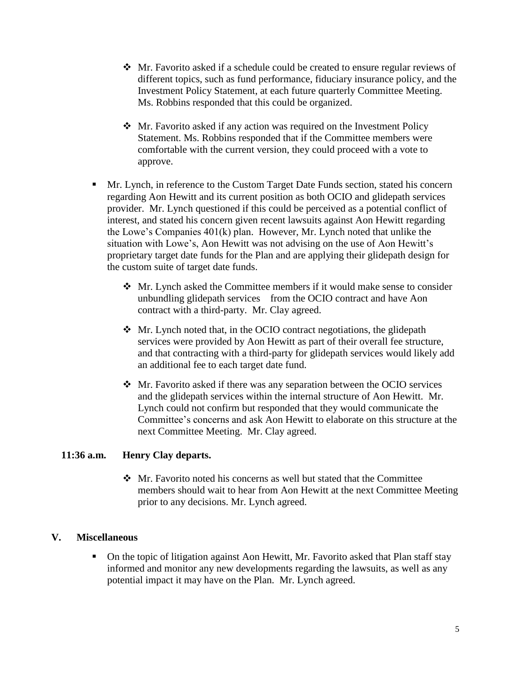- ❖ Mr. Favorito asked if a schedule could be created to ensure regular reviews of different topics, such as fund performance, fiduciary insurance policy, and the Investment Policy Statement, at each future quarterly Committee Meeting. Ms. Robbins responded that this could be organized.
- ❖ Mr. Favorito asked if any action was required on the Investment Policy Statement. Ms. Robbins responded that if the Committee members were comfortable with the current version, they could proceed with a vote to approve.
- **Mr. Lynch, in reference to the Custom Target Date Funds section, stated his concern** regarding Aon Hewitt and its current position as both OCIO and glidepath services provider. Mr. Lynch questioned if this could be perceived as a potential conflict of interest, and stated his concern given recent lawsuits against Aon Hewitt regarding the Lowe's Companies 401(k) plan. However, Mr. Lynch noted that unlike the situation with Lowe's, Aon Hewitt was not advising on the use of Aon Hewitt's proprietary target date funds for the Plan and are applying their glidepath design for the custom suite of target date funds.
	- ❖ Mr. Lynch asked the Committee members if it would make sense to consider unbundling glidepath services from the OCIO contract and have Aon contract with a third-party. Mr. Clay agreed.
	- ❖ Mr. Lynch noted that, in the OCIO contract negotiations, the glidepath services were provided by Aon Hewitt as part of their overall fee structure, and that contracting with a third-party for glidepath services would likely add an additional fee to each target date fund.
	- ❖ Mr. Favorito asked if there was any separation between the OCIO services and the glidepath services within the internal structure of Aon Hewitt. Mr. Lynch could not confirm but responded that they would communicate the Committee's concerns and ask Aon Hewitt to elaborate on this structure at the next Committee Meeting. Mr. Clay agreed.

# **11:36 a.m. Henry Clay departs.**

❖ Mr. Favorito noted his concerns as well but stated that the Committee members should wait to hear from Aon Hewitt at the next Committee Meeting prior to any decisions. Mr. Lynch agreed.

# **V. Miscellaneous**

■ On the topic of litigation against Aon Hewitt, Mr. Favorito asked that Plan staff stay informed and monitor any new developments regarding the lawsuits, as well as any potential impact it may have on the Plan. Mr. Lynch agreed.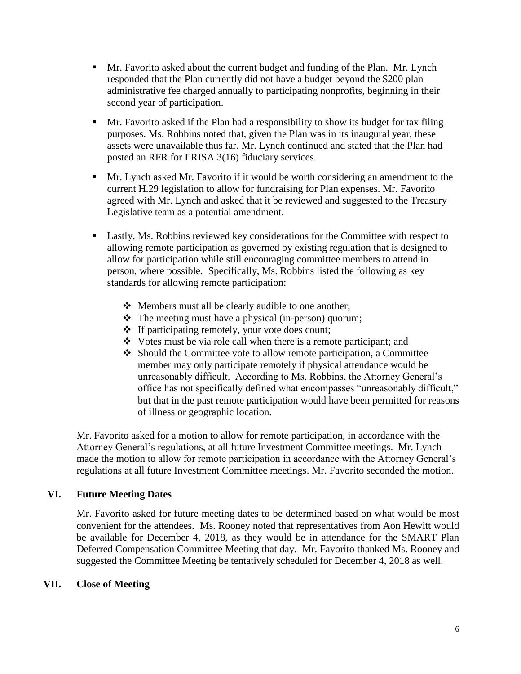- Mr. Favorito asked about the current budget and funding of the Plan. Mr. Lynch responded that the Plan currently did not have a budget beyond the \$200 plan administrative fee charged annually to participating nonprofits, beginning in their second year of participation.
- **•** Mr. Favorito asked if the Plan had a responsibility to show its budget for tax filing purposes. Ms. Robbins noted that, given the Plan was in its inaugural year, these assets were unavailable thus far. Mr. Lynch continued and stated that the Plan had posted an RFR for ERISA 3(16) fiduciary services.
- Mr. Lynch asked Mr. Favorito if it would be worth considering an amendment to the current H.29 legislation to allow for fundraising for Plan expenses. Mr. Favorito agreed with Mr. Lynch and asked that it be reviewed and suggested to the Treasury Legislative team as a potential amendment.
- **Lastly, Ms. Robbins reviewed key considerations for the Committee with respect to** allowing remote participation as governed by existing regulation that is designed to allow for participation while still encouraging committee members to attend in person, where possible. Specifically, Ms. Robbins listed the following as key standards for allowing remote participation:
	- ❖ Members must all be clearly audible to one another;
	- ❖ The meeting must have a physical (in-person) quorum;
	- ❖ If participating remotely, your vote does count;
	- ❖ Votes must be via role call when there is a remote participant; and
	- ❖ Should the Committee vote to allow remote participation, a Committee member may only participate remotely if physical attendance would be unreasonably difficult. According to Ms. Robbins, the Attorney General's office has not specifically defined what encompasses "unreasonably difficult," but that in the past remote participation would have been permitted for reasons of illness or geographic location.

Mr. Favorito asked for a motion to allow for remote participation, in accordance with the Attorney General's regulations, at all future Investment Committee meetings. Mr. Lynch made the motion to allow for remote participation in accordance with the Attorney General's regulations at all future Investment Committee meetings. Mr. Favorito seconded the motion.

# **VI. Future Meeting Dates**

Mr. Favorito asked for future meeting dates to be determined based on what would be most convenient for the attendees. Ms. Rooney noted that representatives from Aon Hewitt would be available for December 4, 2018, as they would be in attendance for the SMART Plan Deferred Compensation Committee Meeting that day. Mr. Favorito thanked Ms. Rooney and suggested the Committee Meeting be tentatively scheduled for December 4, 2018 as well.

### **VII. Close of Meeting**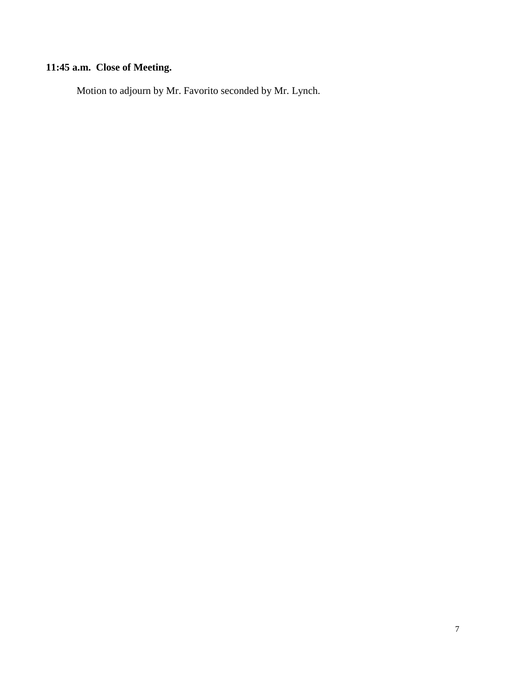# **11:45 a.m. Close of Meeting.**

Motion to adjourn by Mr. Favorito seconded by Mr. Lynch.